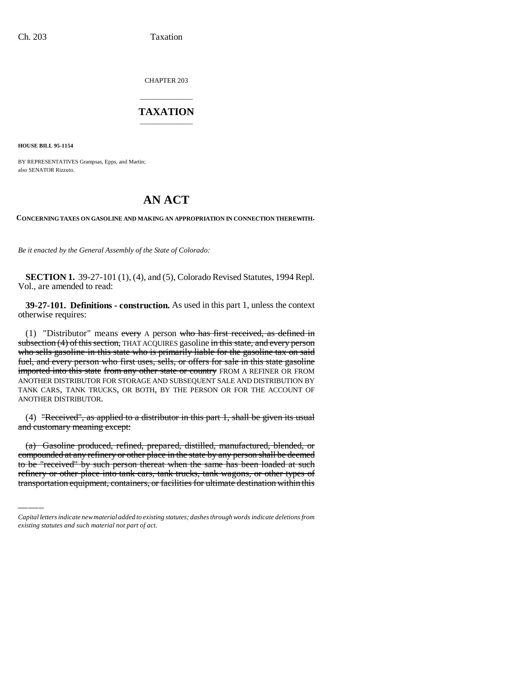CHAPTER 203

## \_\_\_\_\_\_\_\_\_\_\_\_\_\_\_ **TAXATION** \_\_\_\_\_\_\_\_\_\_\_\_\_\_\_

**HOUSE BILL 95-1154**

BY REPRESENTATIVES Grampsas, Epps, and Martin; also SENATOR Rizzuto.

# **AN ACT**

**CONCERNING TAXES ON GASOLINE AND MAKING AN APPROPRIATION IN CONNECTION THEREWITH.**

*Be it enacted by the General Assembly of the State of Colorado:*

**SECTION 1.** 39-27-101 (1), (4), and (5), Colorado Revised Statutes, 1994 Repl. Vol., are amended to read:

**39-27-101. Definitions - construction.** As used in this part 1, unless the context otherwise requires:

(1) "Distributor" means every A person who has first received, as defined in subsection (4) of this section, THAT ACQUIRES gasoline in this state, and every person who sells gasoline in this state who is primarily liable for the gasoline tax on said fuel, and every person who first uses, sells, or offers for sale in this state gasoline imported into this state from any other state or country FROM A REFINER OR FROM ANOTHER DISTRIBUTOR FOR STORAGE AND SUBSEQUENT SALE AND DISTRIBUTION BY TANK CARS, TANK TRUCKS, OR BOTH, BY THE PERSON OR FOR THE ACCOUNT OF ANOTHER DISTRIBUTOR.

(4) "Received", as applied to a distributor in this part 1, shall be given its usual and customary meaning except:

(a) Gasoline produced, refined, prepared, distilled, manufactured, blended, or compounded at any refinery or other place in the state by any person shall be deemed to be "received" by such person thereat when the same has been loaded at such refinery or other place into tank cars, tank trucks, tank wagons, or other types of transportation equipment, containers, or facilities for ultimate destination within this

*Capital letters indicate new material added to existing statutes; dashes through words indicate deletions from existing statutes and such material not part of act.*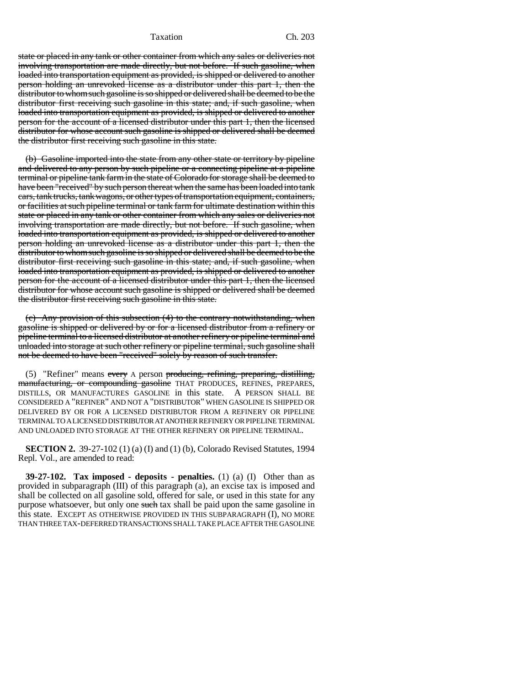Taxation Ch. 203

state or placed in any tank or other container from which any sales or deliveries not involving transportation are made directly, but not before. If such gasoline, when loaded into transportation equipment as provided, is shipped or delivered to another person holding an unrevoked license as a distributor under this part 1, then the distributor to whom such gasoline is so shipped or delivered shall be deemed to be the distributor first receiving such gasoline in this state; and, if such gasoline, when loaded into transportation equipment as provided, is shipped or delivered to another person for the account of a licensed distributor under this part 1, then the licensed distributor for whose account such gasoline is shipped or delivered shall be deemed the distributor first receiving such gasoline in this state.

(b) Gasoline imported into the state from any other state or territory by pipeline and delivered to any person by such pipeline or a connecting pipeline at a pipeline terminal or pipeline tank farm in the state of Colorado for storage shall be deemed to have been "received" by such person thereat when the same has been loaded into tank cars, tank trucks, tank wagons, or other types of transportation equipment, containers, or facilities at such pipeline terminal or tank farm for ultimate destination within this state or placed in any tank or other container from which any sales or deliveries not involving transportation are made directly, but not before. If such gasoline, when loaded into transportation equipment as provided, is shipped or delivered to another person holding an unrevoked license as a distributor under this part 1, then the distributor to whom such gasoline is so shipped or delivered shall be deemed to be the distributor first receiving such gasoline in this state; and, if such gasoline, when loaded into transportation equipment as provided, is shipped or delivered to another person for the account of a licensed distributor under this part 1, then the licensed distributor for whose account such gasoline is shipped or delivered shall be deemed the distributor first receiving such gasoline in this state.

(c) Any provision of this subsection (4) to the contrary notwithstanding, when gasoline is shipped or delivered by or for a licensed distributor from a refinery or pipeline terminal to a licensed distributor at another refinery or pipeline terminal and unloaded into storage at such other refinery or pipeline terminal, such gasoline shall not be deemed to have been "received" solely by reason of such transfer.

(5) "Refiner" means every A person producing, refining, preparing, distilling, manufacturing, or compounding gasoline THAT PRODUCES, REFINES, PREPARES, DISTILLS, OR MANUFACTURES GASOLINE in this state. A PERSON SHALL BE CONSIDERED A "REFINER" AND NOT A "DISTRIBUTOR" WHEN GASOLINE IS SHIPPED OR DELIVERED BY OR FOR A LICENSED DISTRIBUTOR FROM A REFINERY OR PIPELINE TERMINAL TO A LICENSED DISTRIBUTOR AT ANOTHER REFINERY OR PIPELINE TERMINAL AND UNLOADED INTO STORAGE AT THE OTHER REFINERY OR PIPELINE TERMINAL.

**SECTION 2.** 39-27-102 (1) (a) (I) and (1) (b), Colorado Revised Statutes, 1994 Repl. Vol., are amended to read:

**39-27-102. Tax imposed - deposits - penalties.** (1) (a) (I) Other than as provided in subparagraph (III) of this paragraph (a), an excise tax is imposed and shall be collected on all gasoline sold, offered for sale, or used in this state for any purpose whatsoever, but only one such tax shall be paid upon the same gasoline in this state. EXCEPT AS OTHERWISE PROVIDED IN THIS SUBPARAGRAPH (I), NO MORE THAN THREE TAX-DEFERRED TRANSACTIONS SHALL TAKE PLACE AFTER THE GASOLINE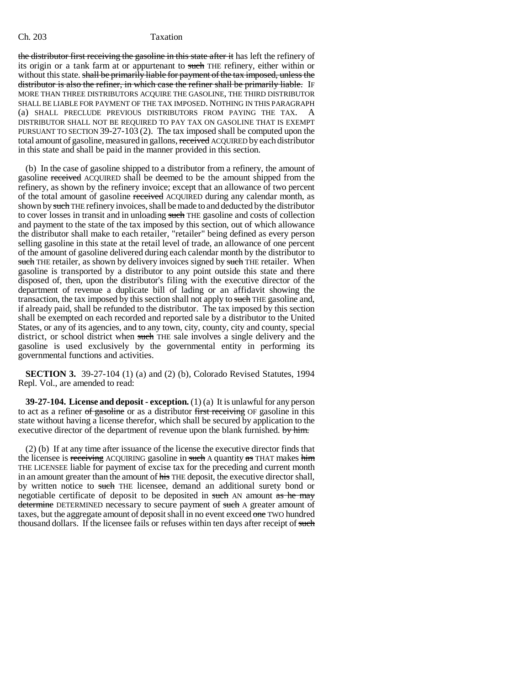### Ch. 203 Taxation

the distributor first receiving the gasoline in this state after it has left the refinery of its origin or a tank farm at or appurtenant to such THE refinery, either within or without this state. shall be primarily liable for payment of the tax imposed, unless the distributor is also the refiner, in which case the refiner shall be primarily liable. IF MORE THAN THREE DISTRIBUTORS ACQUIRE THE GASOLINE, THE THIRD DISTRIBUTOR SHALL BE LIABLE FOR PAYMENT OF THE TAX IMPOSED. NOTHING IN THIS PARAGRAPH (a) SHALL PRECLUDE PREVIOUS DISTRIBUTORS FROM PAYING THE TAX. A DISTRIBUTOR SHALL NOT BE REQUIRED TO PAY TAX ON GASOLINE THAT IS EXEMPT PURSUANT TO SECTION 39-27-103 (2). The tax imposed shall be computed upon the total amount of gasoline, measured in gallons, received ACQUIRED by each distributor in this state and shall be paid in the manner provided in this section.

(b) In the case of gasoline shipped to a distributor from a refinery, the amount of gasoline received ACQUIRED shall be deemed to be the amount shipped from the refinery, as shown by the refinery invoice; except that an allowance of two percent of the total amount of gasoline received ACQUIRED during any calendar month, as shown by such THE refinery invoices, shall be made to and deducted by the distributor to cover losses in transit and in unloading such THE gasoline and costs of collection and payment to the state of the tax imposed by this section, out of which allowance the distributor shall make to each retailer, "retailer" being defined as every person selling gasoline in this state at the retail level of trade, an allowance of one percent of the amount of gasoline delivered during each calendar month by the distributor to such THE retailer, as shown by delivery invoices signed by such THE retailer. When gasoline is transported by a distributor to any point outside this state and there disposed of, then, upon the distributor's filing with the executive director of the department of revenue a duplicate bill of lading or an affidavit showing the transaction, the tax imposed by this section shall not apply to such THE gasoline and, if already paid, shall be refunded to the distributor. The tax imposed by this section shall be exempted on each recorded and reported sale by a distributor to the United States, or any of its agencies, and to any town, city, county, city and county, special district, or school district when such THE sale involves a single delivery and the gasoline is used exclusively by the governmental entity in performing its governmental functions and activities.

**SECTION 3.** 39-27-104 (1) (a) and (2) (b), Colorado Revised Statutes, 1994 Repl. Vol., are amended to read:

**39-27-104. License and deposit - exception.** (1) (a) It is unlawful for any person to act as a refiner of gasoline or as a distributor first receiving OF gasoline in this state without having a license therefor, which shall be secured by application to the executive director of the department of revenue upon the blank furnished. by him.

(2) (b) If at any time after issuance of the license the executive director finds that the licensee is receiving ACQUIRING gasoline in such A quantity as THAT makes him THE LICENSEE liable for payment of excise tax for the preceding and current month in an amount greater than the amount of his THE deposit, the executive director shall, by written notice to such THE licensee, demand an additional surety bond or negotiable certificate of deposit to be deposited in such AN amount as he may determine DETERMINED necessary to secure payment of such A greater amount of taxes, but the aggregate amount of deposit shall in no event exceed  $\overline{\text{one}}$  TWO hundred thousand dollars. If the licensee fails or refuses within ten days after receipt of such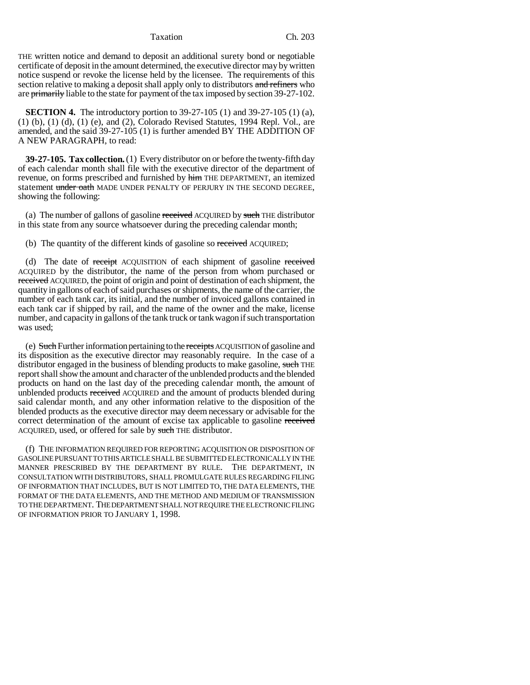#### Taxation Ch. 203

THE written notice and demand to deposit an additional surety bond or negotiable certificate of deposit in the amount determined, the executive director may by written notice suspend or revoke the license held by the licensee. The requirements of this section relative to making a deposit shall apply only to distributors and refiners who are primarily liable to the state for payment of the tax imposed by section 39-27-102.

**SECTION 4.** The introductory portion to 39-27-105 (1) and 39-27-105 (1) (a), (1) (b), (1) (d), (1) (e), and (2), Colorado Revised Statutes, 1994 Repl. Vol., are amended, and the said 39-27-105 (1) is further amended BY THE ADDITION OF A NEW PARAGRAPH, to read:

**39-27-105. Tax collection.** (1) Every distributor on or before the twenty-fifth day of each calendar month shall file with the executive director of the department of revenue, on forms prescribed and furnished by him THE DEPARTMENT, an itemized statement under oath MADE UNDER PENALTY OF PERJURY IN THE SECOND DEGREE, showing the following:

(a) The number of gallons of gasoline received ACQUIRED by such THE distributor in this state from any source whatsoever during the preceding calendar month;

(b) The quantity of the different kinds of gasoline so received ACQUIRED;

(d) The date of receipt ACQUISITION of each shipment of gasoline received ACQUIRED by the distributor, the name of the person from whom purchased or received ACQUIRED, the point of origin and point of destination of each shipment, the quantity in gallons of each of said purchases or shipments, the name of the carrier, the number of each tank car, its initial, and the number of invoiced gallons contained in each tank car if shipped by rail, and the name of the owner and the make, license number, and capacity in gallons of the tank truck or tank wagon if such transportation was used;

(e) Such Further information pertaining to the receipts ACQUISITION of gasoline and its disposition as the executive director may reasonably require. In the case of a distributor engaged in the business of blending products to make gasoline, such THE report shall show the amount and character of the unblended products and the blended products on hand on the last day of the preceding calendar month, the amount of unblended products received ACQUIRED and the amount of products blended during said calendar month, and any other information relative to the disposition of the blended products as the executive director may deem necessary or advisable for the correct determination of the amount of excise tax applicable to gasoline received ACQUIRED, used, or offered for sale by such THE distributor.

(f) THE INFORMATION REQUIRED FOR REPORTING ACQUISITION OR DISPOSITION OF GASOLINE PURSUANT TO THIS ARTICLE SHALL BE SUBMITTED ELECTRONICALLY IN THE MANNER PRESCRIBED BY THE DEPARTMENT BY RULE. THE DEPARTMENT, IN CONSULTATION WITH DISTRIBUTORS, SHALL PROMULGATE RULES REGARDING FILING OF INFORMATION THAT INCLUDES, BUT IS NOT LIMITED TO, THE DATA ELEMENTS, THE FORMAT OF THE DATA ELEMENTS, AND THE METHOD AND MEDIUM OF TRANSMISSION TO THE DEPARTMENT. THE DEPARTMENT SHALL NOT REQUIRE THE ELECTRONIC FILING OF INFORMATION PRIOR TO JANUARY 1, 1998.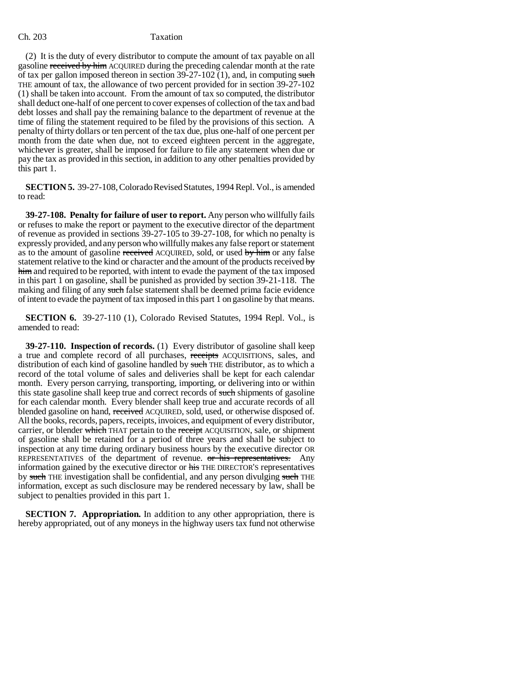### Ch. 203 Taxation

(2) It is the duty of every distributor to compute the amount of tax payable on all gasoline received by him ACQUIRED during the preceding calendar month at the rate of tax per gallon imposed thereon in section  $39-27-102$  (1), and, in computing such THE amount of tax, the allowance of two percent provided for in section 39-27-102 (1) shall be taken into account. From the amount of tax so computed, the distributor shall deduct one-half of one percent to cover expenses of collection of the tax and bad debt losses and shall pay the remaining balance to the department of revenue at the time of filing the statement required to be filed by the provisions of this section. A penalty of thirty dollars or ten percent of the tax due, plus one-half of one percent per month from the date when due, not to exceed eighteen percent in the aggregate, whichever is greater, shall be imposed for failure to file any statement when due or pay the tax as provided in this section, in addition to any other penalties provided by this part 1.

**SECTION 5.** 39-27-108, Colorado Revised Statutes, 1994 Repl. Vol., is amended to read:

**39-27-108. Penalty for failure of user to report.** Any person who willfully fails or refuses to make the report or payment to the executive director of the department of revenue as provided in sections 39-27-105 to 39-27-108, for which no penalty is expressly provided, and any person who willfully makes any false report or statement as to the amount of gasoline received ACQUIRED, sold, or used by him or any false statement relative to the kind or character and the amount of the products received  $\mathbf{b}$ him and required to be reported, with intent to evade the payment of the tax imposed in this part 1 on gasoline, shall be punished as provided by section 39-21-118. The making and filing of any such false statement shall be deemed prima facie evidence of intent to evade the payment of tax imposed in this part 1 on gasoline by that means.

**SECTION 6.** 39-27-110 (1), Colorado Revised Statutes, 1994 Repl. Vol., is amended to read:

**39-27-110. Inspection of records.** (1) Every distributor of gasoline shall keep a true and complete record of all purchases, receipts ACQUISITIONS, sales, and distribution of each kind of gasoline handled by such THE distributor, as to which a record of the total volume of sales and deliveries shall be kept for each calendar month. Every person carrying, transporting, importing, or delivering into or within this state gasoline shall keep true and correct records of such shipments of gasoline for each calendar month. Every blender shall keep true and accurate records of all blended gasoline on hand, received ACQUIRED, sold, used, or otherwise disposed of. All the books, records, papers, receipts, invoices, and equipment of every distributor, carrier, or blender which THAT pertain to the receipt ACQUISITION, sale, or shipment of gasoline shall be retained for a period of three years and shall be subject to inspection at any time during ordinary business hours by the executive director OR REPRESENTATIVES of the department of revenue. <del>or his representatives.</del> Any information gained by the executive director or his THE DIRECTOR'S representatives by such THE investigation shall be confidential, and any person divulging such THE information, except as such disclosure may be rendered necessary by law, shall be subject to penalties provided in this part 1.

**SECTION 7. Appropriation.** In addition to any other appropriation, there is hereby appropriated, out of any moneys in the highway users tax fund not otherwise